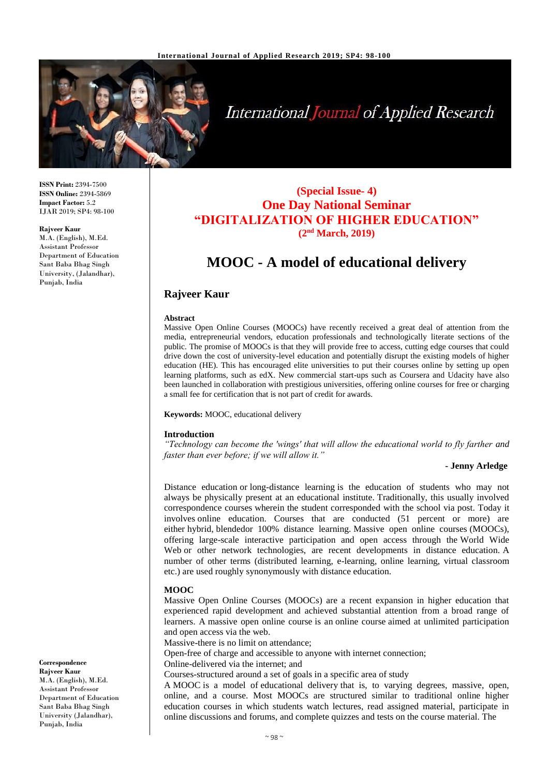

# **International Journal of Applied Research**

**ISSN Print:** 2394-7500 **ISSN Online:** 2394-5869 **Impact Factor:** 5.2 IJAR 2019; SP4: 98-100

**Rajveer Kaur** M.A. (English), M.Ed. Assistant Professor Department of Education Sant Baba Bhag Singh University, (Jalandhar), Punjab, India

### **(Special Issue- 4) One Day National Seminar "DIGITALIZATION OF HIGHER EDUCATION" (2nd March, 2019)**

## **MOOC - A model of educational delivery**

#### **Rajveer Kaur**

#### **Abstract**

Massive Open Online Courses (MOOCs) have recently received a great deal of attention from the media, entrepreneurial vendors, education professionals and technologically literate sections of the public. The promise of MOOCs is that they will provide free to access, cutting edge courses that could drive down the cost of university-level education and potentially disrupt the existing models of higher education (HE). This has encouraged elite universities to put their courses online by setting up open learning platforms, such as edX. New commercial start-ups such as Coursera and Udacity have also been launched in collaboration with prestigious universities, offering online courses for free or charging a small fee for certification that is not part of credit for awards.

#### **Keywords:** MOOC, educational delivery

#### **Introduction**

*"Technology can become the 'wings' that will allow the educational world to fly farther and faster than ever before; if we will allow it."*

#### **- Jenny Arledge**

Distance education or long-distance learning is the education of students who may not always be physically present at an educational institute. Traditionally, this usually involved correspondence courses wherein the student corresponded with the school via post. Today it involves online education. Courses that are conducted (51 percent or more) are either hybrid, blendedor 100% distance learning. Massive open online courses (MOOCs), offering large-scale interactive participation and open access through the World Wide Web or other network technologies, are recent developments in distance education. A number of other terms (distributed learning, e-learning, online learning, virtual classroom etc.) are used roughly synonymously with distance education.

#### **MOOC**

Massive Open Online Courses (MOOCs) are a recent expansion in higher education that experienced rapid development and achieved substantial attention from a broad range of learners. A massive open online course is an online course aimed at unlimited participation and open access via the web.

Massive-there is no limit on attendance;

Open-free of charge and accessible to anyone with internet connection;

Online-delivered via the internet; and

Courses-structured around a set of goals in a specific area of study

A MOOC is a model of educational delivery that is, to varying degrees, massive, open, online, and a course. Most MOOCs are structured similar to traditional online higher education courses in which students watch lectures, read assigned material, participate in online discussions and forums, and complete quizzes and tests on the course material. The

**Correspondence Rajveer Kaur** M.A. (English), M.Ed. Assistant Professor Department of Education Sant Baba Bhag Singh University (Jalandhar),

Punjab, India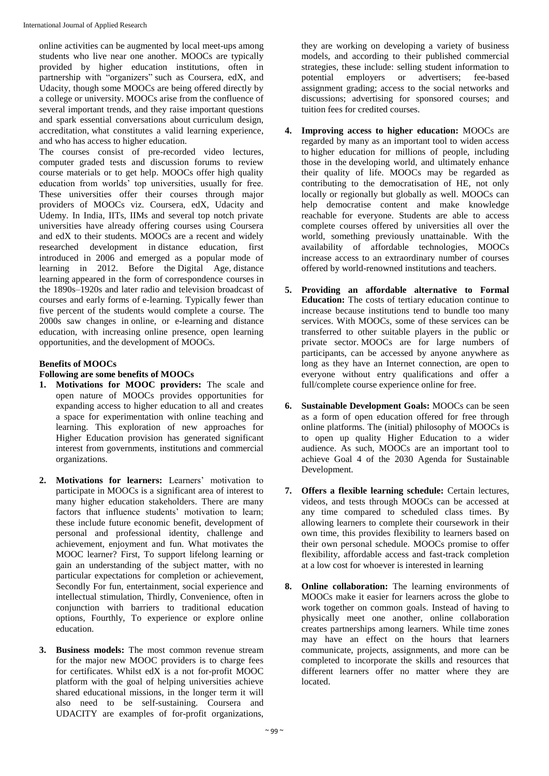online activities can be augmented by local meet-ups among students who live near one another. MOOCs are typically provided by higher education institutions, often in partnership with "organizers" such as Coursera, edX, and Udacity, though some MOOCs are being offered directly by a college or university. MOOCs arise from the confluence of several important trends, and they raise important questions and spark essential conversations about curriculum design, accreditation, what constitutes a valid learning experience, and who has access to higher education.

The courses consist of pre-recorded video lectures, computer graded tests and discussion forums to review course materials or to get help. MOOCs offer high quality education from worlds' top universities, usually for free. These universities offer their courses through major providers of MOOCs viz. Coursera, edX, Udacity and Udemy. In India, IITs, IIMs and several top notch private universities have already offering courses using Coursera and edX to their students. MOOCs are a recent and widely researched development in distance education, first introduced in 2006 and emerged as a popular mode of learning in 2012. Before the Digital Age, distance learning appeared in the form of correspondence courses in the 1890s–1920s and later radio and television broadcast of courses and early forms of e-learning. Typically fewer than five percent of the students would complete a course. The 2000s saw changes in online, or e-learning and distance education, with increasing online presence, open learning opportunities, and the development of MOOCs.

#### **Benefits of MOOCs**

#### **Following are some benefits of MOOCs**

- **1. Motivations for MOOC providers:** The scale and open nature of MOOCs provides opportunities for expanding access to higher education to all and creates a space for experimentation with online teaching and learning. This exploration of new approaches for Higher Education provision has generated significant interest from governments, institutions and commercial organizations.
- **2. Motivations for learners:** Learners' motivation to participate in MOOCs is a significant area of interest to many higher education stakeholders. There are many factors that influence students' motivation to learn; these include future economic benefit, development of personal and professional identity, challenge and achievement, enjoyment and fun. What motivates the MOOC learner? First, To support lifelong learning or gain an understanding of the subject matter, with no particular expectations for completion or achievement, Secondly For fun, entertainment, social experience and intellectual stimulation, Thirdly, Convenience, often in conjunction with barriers to traditional education options, Fourthly, To experience or explore online education.
- **3. Business models:** The most common revenue stream for the major new MOOC providers is to charge fees for certificates. Whilst edX is a not for-profit MOOC platform with the goal of helping universities achieve shared educational missions, in the longer term it will also need to be self-sustaining. Coursera and UDACITY are examples of for-profit organizations,

they are working on developing a variety of business models, and according to their published commercial strategies, these include: selling student information to potential employers or advertisers; fee-based assignment grading; access to the social networks and discussions; advertising for sponsored courses; and tuition fees for credited courses.

- **4. Improving access to higher education:** MOOCs are regarded by many as an important tool to widen access to higher education for millions of people, including those in the developing world, and ultimately enhance their quality of life. MOOCs may be regarded as contributing to the democratisation of HE, not only locally or regionally but globally as well. MOOCs can help democratise content and make knowledge reachable for everyone. Students are able to access complete courses offered by universities all over the world, something previously unattainable. With the availability of affordable technologies, MOOCs increase access to an extraordinary number of courses offered by world-renowned institutions and teachers.
- **5. Providing an affordable alternative to Formal Education:** The costs of tertiary education continue to increase because institutions tend to bundle too many services. With MOOCs, some of these services can be transferred to other suitable players in the public or private sector. MOOCs are for large numbers of participants, can be accessed by anyone anywhere as long as they have an Internet connection, are open to everyone without entry qualifications and offer a full/complete course experience online for free.
- **6. Sustainable Development Goals:** MOOCs can be seen as a form of open education offered for free through online platforms. The (initial) philosophy of MOOCs is to open up quality Higher Education to a wider audience. As such, MOOCs are an important tool to achieve Goal 4 of the 2030 Agenda for Sustainable Development.
- **7. Offers a flexible learning schedule:** Certain lectures, videos, and tests through MOOCs can be accessed at any time compared to scheduled class times. By allowing learners to complete their coursework in their own time, this provides flexibility to learners based on their own personal schedule. MOOCs promise to offer flexibility, affordable access and fast-track completion at a low cost for whoever is interested in learning
- **8. Online collaboration:** The learning environments of MOOCs make it easier for learners across the globe to work together on common goals. Instead of having to physically meet one another, online collaboration creates partnerships among learners. While time zones may have an effect on the hours that learners communicate, projects, assignments, and more can be completed to incorporate the skills and resources that different learners offer no matter where they are located.